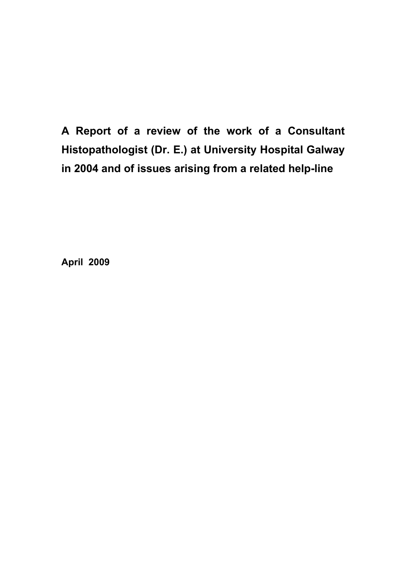**A Report of a review of the work of a Consultant Histopathologist (Dr. E.) at University Hospital Galway in 2004 and of issues arising from a related help-line** 

**April 2009**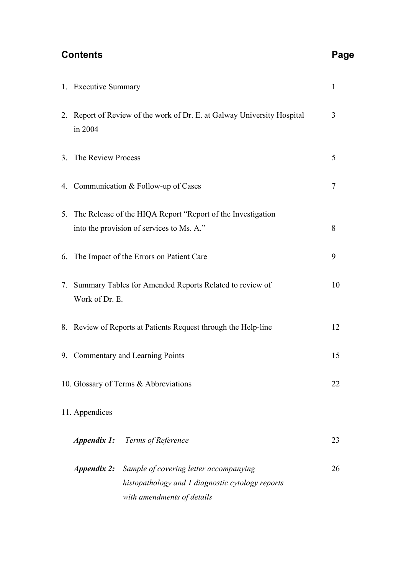# **Contents Page 2018**

| 1. Executive Summary                                                                                                                        | $\mathbf{1}$   |  |
|---------------------------------------------------------------------------------------------------------------------------------------------|----------------|--|
| 2. Report of Review of the work of Dr. E. at Galway University Hospital<br>in 2004                                                          | 3              |  |
| 3. The Review Process                                                                                                                       | 5              |  |
| 4. Communication & Follow-up of Cases                                                                                                       | $\overline{7}$ |  |
| 5. The Release of the HIQA Report "Report of the Investigation<br>into the provision of services to Ms. A."<br>8                            |                |  |
| 6. The Impact of the Errors on Patient Care                                                                                                 | 9              |  |
| 7. Summary Tables for Amended Reports Related to review of<br>10<br>Work of Dr. E.                                                          |                |  |
| 8. Review of Reports at Patients Request through the Help-line                                                                              | 12             |  |
| 9. Commentary and Learning Points                                                                                                           | 15             |  |
| 10. Glossary of Terms & Abbreviations                                                                                                       | 22             |  |
| 11. Appendices                                                                                                                              |                |  |
| <b>Appendix 1:</b> Terms of Reference                                                                                                       | 23             |  |
| <b>Appendix 2:</b> Sample of covering letter accompanying<br>histopathology and 1 diagnostic cytology reports<br>with amendments of details | 26             |  |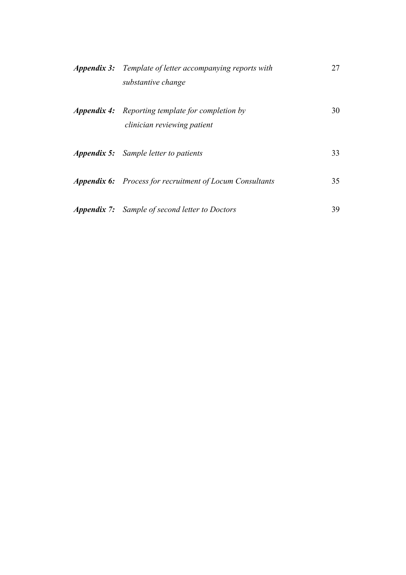| <b>Appendix 3:</b> Template of letter accompanying reports with<br>substantive change  | 27  |
|----------------------------------------------------------------------------------------|-----|
| <b>Appendix 4:</b> Reporting template for completion by<br>clinician reviewing patient | 30  |
| <b>Appendix 5:</b> Sample letter to patients                                           | 33  |
| <b>Appendix 6:</b> Process for recruitment of Locum Consultants                        | 35  |
| <b>Appendix 7:</b> Sample of second letter to Doctors                                  | 39. |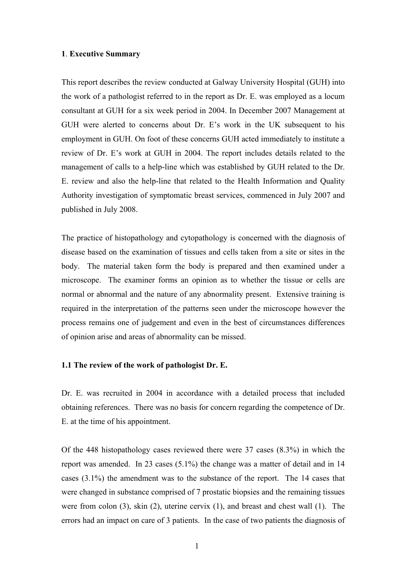## **1**. **Executive Summary**

This report describes the review conducted at Galway University Hospital (GUH) into the work of a pathologist referred to in the report as Dr. E. was employed as a locum consultant at GUH for a six week period in 2004. In December 2007 Management at GUH were alerted to concerns about Dr. E's work in the UK subsequent to his employment in GUH. On foot of these concerns GUH acted immediately to institute a review of Dr. E's work at GUH in 2004. The report includes details related to the management of calls to a help-line which was established by GUH related to the Dr. E. review and also the help-line that related to the Health Information and Quality Authority investigation of symptomatic breast services, commenced in July 2007 and published in July 2008.

The practice of histopathology and cytopathology is concerned with the diagnosis of disease based on the examination of tissues and cells taken from a site or sites in the body. The material taken form the body is prepared and then examined under a microscope. The examiner forms an opinion as to whether the tissue or cells are normal or abnormal and the nature of any abnormality present. Extensive training is required in the interpretation of the patterns seen under the microscope however the process remains one of judgement and even in the best of circumstances differences of opinion arise and areas of abnormality can be missed.

# **1.1 The review of the work of pathologist Dr. E.**

Dr. E. was recruited in 2004 in accordance with a detailed process that included obtaining references. There was no basis for concern regarding the competence of Dr. E. at the time of his appointment.

Of the 448 histopathology cases reviewed there were 37 cases (8.3%) in which the report was amended. In 23 cases (5.1%) the change was a matter of detail and in 14 cases (3.1%) the amendment was to the substance of the report. The 14 cases that were changed in substance comprised of 7 prostatic biopsies and the remaining tissues were from colon (3), skin (2), uterine cervix (1), and breast and chest wall (1). The errors had an impact on care of 3 patients. In the case of two patients the diagnosis of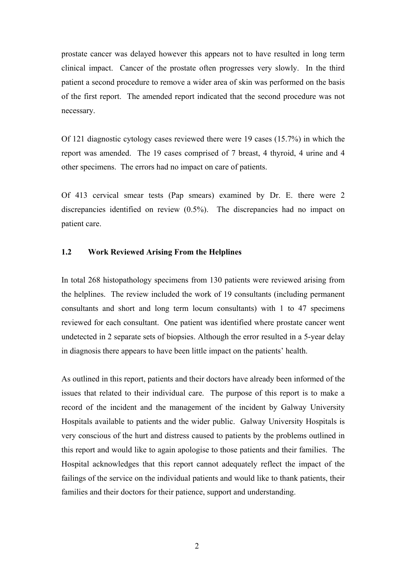prostate cancer was delayed however this appears not to have resulted in long term clinical impact. Cancer of the prostate often progresses very slowly. In the third patient a second procedure to remove a wider area of skin was performed on the basis of the first report. The amended report indicated that the second procedure was not necessary.

Of 121 diagnostic cytology cases reviewed there were 19 cases (15.7%) in which the report was amended. The 19 cases comprised of 7 breast, 4 thyroid, 4 urine and 4 other specimens. The errors had no impact on care of patients.

Of 413 cervical smear tests (Pap smears) examined by Dr. E. there were 2 discrepancies identified on review (0.5%). The discrepancies had no impact on patient care.

# **1.2 Work Reviewed Arising From the Helplines**

In total 268 histopathology specimens from 130 patients were reviewed arising from the helplines. The review included the work of 19 consultants (including permanent consultants and short and long term locum consultants) with 1 to 47 specimens reviewed for each consultant. One patient was identified where prostate cancer went undetected in 2 separate sets of biopsies. Although the error resulted in a 5-year delay in diagnosis there appears to have been little impact on the patients' health.

As outlined in this report, patients and their doctors have already been informed of the issues that related to their individual care. The purpose of this report is to make a record of the incident and the management of the incident by Galway University Hospitals available to patients and the wider public. Galway University Hospitals is very conscious of the hurt and distress caused to patients by the problems outlined in this report and would like to again apologise to those patients and their families. The Hospital acknowledges that this report cannot adequately reflect the impact of the failings of the service on the individual patients and would like to thank patients, their families and their doctors for their patience, support and understanding.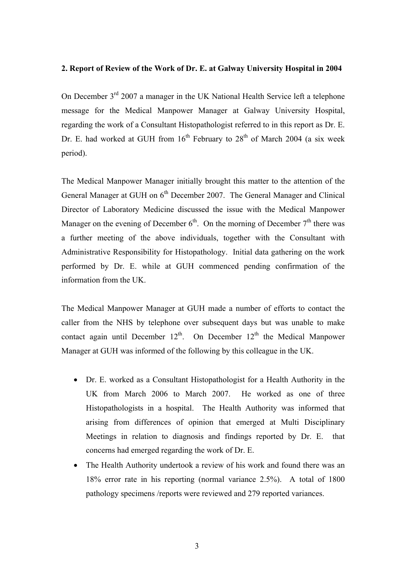# **2. Report of Review of the Work of Dr. E. at Galway University Hospital in 2004**

On December  $3<sup>rd</sup>$  2007 a manager in the UK National Health Service left a telephone message for the Medical Manpower Manager at Galway University Hospital, regarding the work of a Consultant Histopathologist referred to in this report as Dr. E. Dr. E. had worked at GUH from  $16<sup>th</sup>$  February to  $28<sup>th</sup>$  of March 2004 (a six week period).

The Medical Manpower Manager initially brought this matter to the attention of the General Manager at GUH on 6<sup>th</sup> December 2007. The General Manager and Clinical Director of Laboratory Medicine discussed the issue with the Medical Manpower Manager on the evening of December  $6<sup>th</sup>$ . On the morning of December  $7<sup>th</sup>$  there was a further meeting of the above individuals, together with the Consultant with Administrative Responsibility for Histopathology. Initial data gathering on the work performed by Dr. E. while at GUH commenced pending confirmation of the information from the UK.

The Medical Manpower Manager at GUH made a number of efforts to contact the caller from the NHS by telephone over subsequent days but was unable to make contact again until December  $12<sup>th</sup>$ . On December  $12<sup>th</sup>$  the Medical Manpower Manager at GUH was informed of the following by this colleague in the UK.

- Dr. E. worked as a Consultant Histopathologist for a Health Authority in the UK from March 2006 to March 2007. He worked as one of three Histopathologists in a hospital. The Health Authority was informed that arising from differences of opinion that emerged at Multi Disciplinary Meetings in relation to diagnosis and findings reported by Dr. E. that concerns had emerged regarding the work of Dr. E.
- The Health Authority undertook a review of his work and found there was an 18% error rate in his reporting (normal variance 2.5%). A total of 1800 pathology specimens /reports were reviewed and 279 reported variances.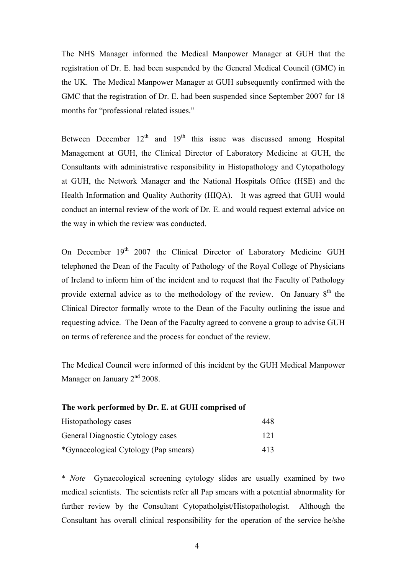The NHS Manager informed the Medical Manpower Manager at GUH that the registration of Dr. E. had been suspended by the General Medical Council (GMC) in the UK. The Medical Manpower Manager at GUH subsequently confirmed with the GMC that the registration of Dr. E. had been suspended since September 2007 for 18 months for "professional related issues."

Between December  $12<sup>th</sup>$  and  $19<sup>th</sup>$  this issue was discussed among Hospital Management at GUH, the Clinical Director of Laboratory Medicine at GUH, the Consultants with administrative responsibility in Histopathology and Cytopathology at GUH, the Network Manager and the National Hospitals Office (HSE) and the Health Information and Quality Authority (HIQA). It was agreed that GUH would conduct an internal review of the work of Dr. E. and would request external advice on the way in which the review was conducted.

On December 19<sup>th</sup> 2007 the Clinical Director of Laboratory Medicine GUH telephoned the Dean of the Faculty of Pathology of the Royal College of Physicians of Ireland to inform him of the incident and to request that the Faculty of Pathology provide external advice as to the methodology of the review. On January  $8<sup>th</sup>$  the Clinical Director formally wrote to the Dean of the Faculty outlining the issue and requesting advice. The Dean of the Faculty agreed to convene a group to advise GUH on terms of reference and the process for conduct of the review.

The Medical Council were informed of this incident by the GUH Medical Manpower Manager on January 2<sup>nd</sup> 2008.

| The work performed by Dr. E. at GUH comprised of |     |  |
|--------------------------------------------------|-----|--|
| Histopathology cases                             | 448 |  |
| General Diagnostic Cytology cases                | 121 |  |
| *Gynaecological Cytology (Pap smears)            | 413 |  |

\* *Note* Gynaecological screening cytology slides are usually examined by two medical scientists. The scientists refer all Pap smears with a potential abnormality for further review by the Consultant Cytopatholgist/Histopathologist. Although the Consultant has overall clinical responsibility for the operation of the service he/she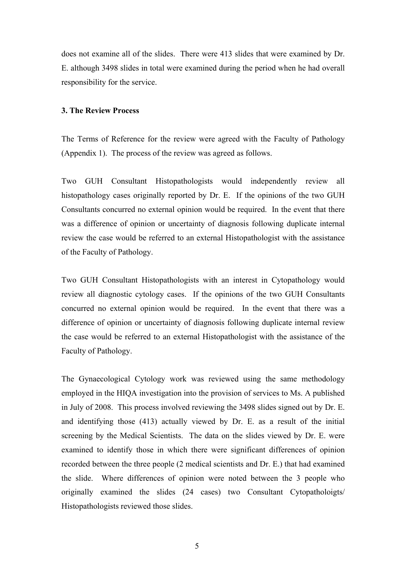does not examine all of the slides. There were 413 slides that were examined by Dr. E. although 3498 slides in total were examined during the period when he had overall responsibility for the service.

# **3. The Review Process**

The Terms of Reference for the review were agreed with the Faculty of Pathology (Appendix 1). The process of the review was agreed as follows.

Two GUH Consultant Histopathologists would independently review all histopathology cases originally reported by Dr. E. If the opinions of the two GUH Consultants concurred no external opinion would be required. In the event that there was a difference of opinion or uncertainty of diagnosis following duplicate internal review the case would be referred to an external Histopathologist with the assistance of the Faculty of Pathology.

Two GUH Consultant Histopathologists with an interest in Cytopathology would review all diagnostic cytology cases. If the opinions of the two GUH Consultants concurred no external opinion would be required. In the event that there was a difference of opinion or uncertainty of diagnosis following duplicate internal review the case would be referred to an external Histopathologist with the assistance of the Faculty of Pathology.

The Gynaecological Cytology work was reviewed using the same methodology employed in the HIQA investigation into the provision of services to Ms. A published in July of 2008. This process involved reviewing the 3498 slides signed out by Dr. E. and identifying those (413) actually viewed by Dr. E. as a result of the initial screening by the Medical Scientists. The data on the slides viewed by Dr. E. were examined to identify those in which there were significant differences of opinion recorded between the three people (2 medical scientists and Dr. E.) that had examined the slide. Where differences of opinion were noted between the 3 people who originally examined the slides (24 cases) two Consultant Cytopatholoigts/ Histopathologists reviewed those slides.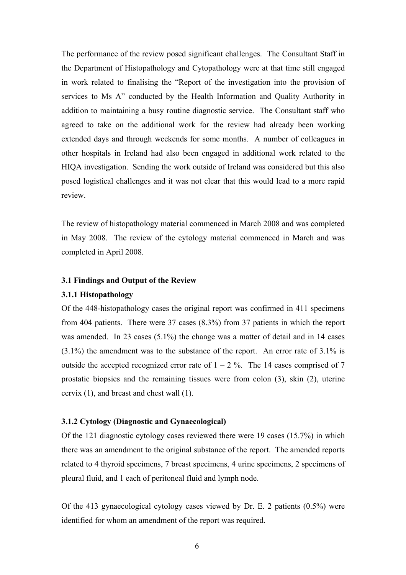The performance of the review posed significant challenges. The Consultant Staff in the Department of Histopathology and Cytopathology were at that time still engaged in work related to finalising the "Report of the investigation into the provision of services to Ms A" conducted by the Health Information and Quality Authority in addition to maintaining a busy routine diagnostic service. The Consultant staff who agreed to take on the additional work for the review had already been working extended days and through weekends for some months. A number of colleagues in other hospitals in Ireland had also been engaged in additional work related to the HIQA investigation. Sending the work outside of Ireland was considered but this also posed logistical challenges and it was not clear that this would lead to a more rapid review.

The review of histopathology material commenced in March 2008 and was completed in May 2008. The review of the cytology material commenced in March and was completed in April 2008.

# **3.1 Findings and Output of the Review**

### **3.1.1 Histopathology**

Of the 448-histopathology cases the original report was confirmed in 411 specimens from 404 patients. There were 37 cases (8.3%) from 37 patients in which the report was amended. In 23 cases (5.1%) the change was a matter of detail and in 14 cases (3.1%) the amendment was to the substance of the report. An error rate of 3.1% is outside the accepted recognized error rate of  $1 - 2$ %. The 14 cases comprised of 7 prostatic biopsies and the remaining tissues were from colon (3), skin (2), uterine cervix (1), and breast and chest wall (1).

# **3.1.2 Cytology (Diagnostic and Gynaecological)**

Of the 121 diagnostic cytology cases reviewed there were 19 cases (15.7%) in which there was an amendment to the original substance of the report. The amended reports related to 4 thyroid specimens, 7 breast specimens, 4 urine specimens, 2 specimens of pleural fluid, and 1 each of peritoneal fluid and lymph node.

Of the 413 gynaecological cytology cases viewed by Dr. E. 2 patients (0.5%) were identified for whom an amendment of the report was required.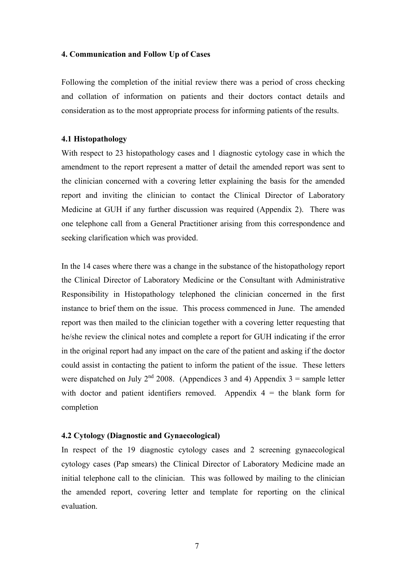### **4. Communication and Follow Up of Cases**

Following the completion of the initial review there was a period of cross checking and collation of information on patients and their doctors contact details and consideration as to the most appropriate process for informing patients of the results.

### **4.1 Histopathology**

With respect to 23 histopathology cases and 1 diagnostic cytology case in which the amendment to the report represent a matter of detail the amended report was sent to the clinician concerned with a covering letter explaining the basis for the amended report and inviting the clinician to contact the Clinical Director of Laboratory Medicine at GUH if any further discussion was required (Appendix 2). There was one telephone call from a General Practitioner arising from this correspondence and seeking clarification which was provided.

In the 14 cases where there was a change in the substance of the histopathology report the Clinical Director of Laboratory Medicine or the Consultant with Administrative Responsibility in Histopathology telephoned the clinician concerned in the first instance to brief them on the issue. This process commenced in June. The amended report was then mailed to the clinician together with a covering letter requesting that he/she review the clinical notes and complete a report for GUH indicating if the error in the original report had any impact on the care of the patient and asking if the doctor could assist in contacting the patient to inform the patient of the issue. These letters were dispatched on July  $2^{nd}$  2008. (Appendices 3 and 4) Appendix 3 = sample letter with doctor and patient identifiers removed. Appendix  $4 =$  the blank form for completion

### **4.2 Cytology (Diagnostic and Gynaecological)**

In respect of the 19 diagnostic cytology cases and 2 screening gynaecological cytology cases (Pap smears) the Clinical Director of Laboratory Medicine made an initial telephone call to the clinician. This was followed by mailing to the clinician the amended report, covering letter and template for reporting on the clinical evaluation.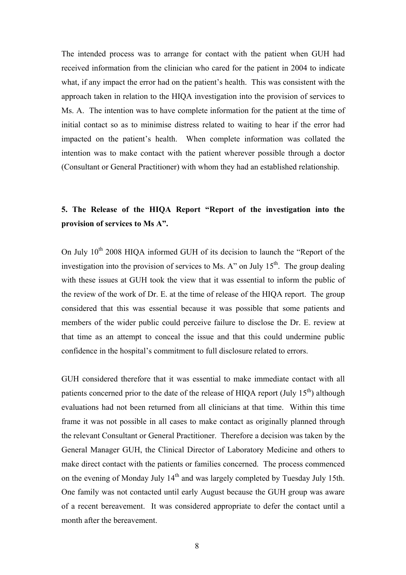The intended process was to arrange for contact with the patient when GUH had received information from the clinician who cared for the patient in 2004 to indicate what, if any impact the error had on the patient's health. This was consistent with the approach taken in relation to the HIQA investigation into the provision of services to Ms. A. The intention was to have complete information for the patient at the time of initial contact so as to minimise distress related to waiting to hear if the error had impacted on the patient's health. When complete information was collated the intention was to make contact with the patient wherever possible through a doctor (Consultant or General Practitioner) with whom they had an established relationship.

# **5. The Release of the HIQA Report "Report of the investigation into the provision of services to Ms A".**

On July  $10^{th}$  2008 HIOA informed GUH of its decision to launch the "Report of the investigation into the provision of services to Ms. A" on July  $15<sup>th</sup>$ . The group dealing with these issues at GUH took the view that it was essential to inform the public of the review of the work of Dr. E. at the time of release of the HIQA report. The group considered that this was essential because it was possible that some patients and members of the wider public could perceive failure to disclose the Dr. E. review at that time as an attempt to conceal the issue and that this could undermine public confidence in the hospital's commitment to full disclosure related to errors.

GUH considered therefore that it was essential to make immediate contact with all patients concerned prior to the date of the release of HIOA report (July  $15<sup>th</sup>$ ) although evaluations had not been returned from all clinicians at that time. Within this time frame it was not possible in all cases to make contact as originally planned through the relevant Consultant or General Practitioner. Therefore a decision was taken by the General Manager GUH, the Clinical Director of Laboratory Medicine and others to make direct contact with the patients or families concerned. The process commenced on the evening of Monday July 14<sup>th</sup> and was largely completed by Tuesday July 15th. One family was not contacted until early August because the GUH group was aware of a recent bereavement. It was considered appropriate to defer the contact until a month after the bereavement.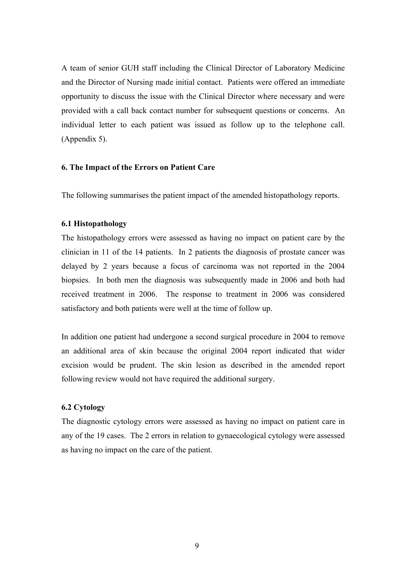A team of senior GUH staff including the Clinical Director of Laboratory Medicine and the Director of Nursing made initial contact. Patients were offered an immediate opportunity to discuss the issue with the Clinical Director where necessary and were provided with a call back contact number for subsequent questions or concerns. An individual letter to each patient was issued as follow up to the telephone call. (Appendix 5).

### **6. The Impact of the Errors on Patient Care**

The following summarises the patient impact of the amended histopathology reports.

# **6.1 Histopathology**

The histopathology errors were assessed as having no impact on patient care by the clinician in 11 of the 14 patients. In 2 patients the diagnosis of prostate cancer was delayed by 2 years because a focus of carcinoma was not reported in the 2004 biopsies. In both men the diagnosis was subsequently made in 2006 and both had received treatment in 2006. The response to treatment in 2006 was considered satisfactory and both patients were well at the time of follow up.

In addition one patient had undergone a second surgical procedure in 2004 to remove an additional area of skin because the original 2004 report indicated that wider excision would be prudent. The skin lesion as described in the amended report following review would not have required the additional surgery.

# **6.2 Cytology**

The diagnostic cytology errors were assessed as having no impact on patient care in any of the 19 cases.The 2 errors in relation to gynaecological cytology were assessed as having no impact on the care of the patient.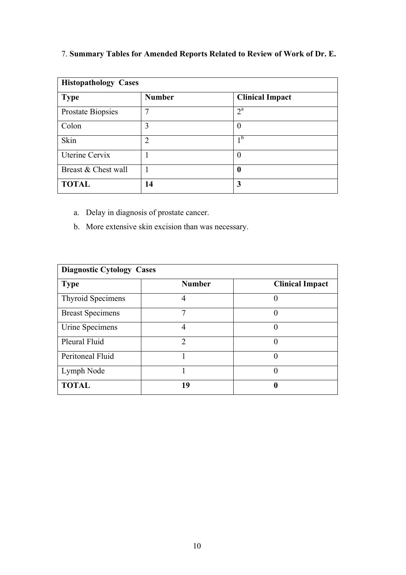# 7. **Summary Tables for Amended Reports Related to Review of Work of Dr. E.**

| <b>Histopathology Cases</b> |                |                        |  |
|-----------------------------|----------------|------------------------|--|
| <b>Type</b>                 | <b>Number</b>  | <b>Clinical Impact</b> |  |
| Prostate Biopsies           | 7              | $2^{\rm a}$            |  |
| Colon                       | 3              | $\theta$               |  |
| Skin                        | $\overline{2}$ | 1 <sub>b</sub>         |  |
| Uterine Cervix              |                | $\overline{0}$         |  |
| Breast & Chest wall         |                | $\boldsymbol{0}$       |  |
| <b>TOTAL</b>                | 14             | 3                      |  |

- a. Delay in diagnosis of prostate cancer.
- b. More extensive skin excision than was necessary.

| <b>Diagnostic Cytology Cases</b> |               |                        |
|----------------------------------|---------------|------------------------|
| <b>Type</b>                      | <b>Number</b> | <b>Clinical Impact</b> |
| <b>Thyroid Specimens</b>         | 4             | 0                      |
| <b>Breast Specimens</b>          |               |                        |
| Urine Specimens                  | 4             |                        |
| Pleural Fluid                    | $\mathcal{D}$ |                        |
| Peritoneal Fluid                 |               |                        |
| Lymph Node                       |               | $\left( \right)$       |
| <b>TOTAL</b>                     | 19            | ſ                      |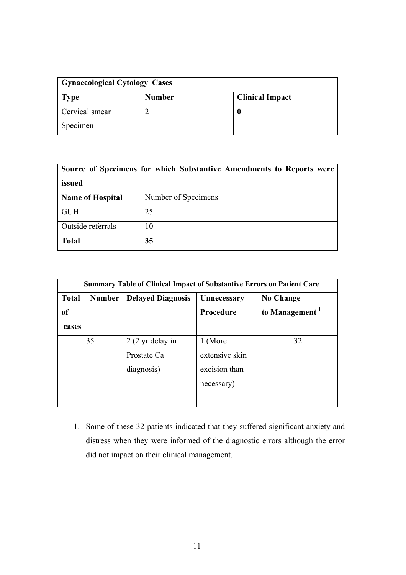| <b>Gynaecological Cytology Cases</b> |               |                        |
|--------------------------------------|---------------|------------------------|
| Type                                 | <b>Number</b> | <b>Clinical Impact</b> |
| Cervical smear                       |               |                        |
| Specimen                             |               |                        |

| Source of Specimens for which Substantive Amendments to Reports were<br>issued |                     |  |
|--------------------------------------------------------------------------------|---------------------|--|
| <b>Name of Hospital</b>                                                        | Number of Specimens |  |
| <b>GUH</b>                                                                     | 25                  |  |
| Outside referrals<br>10                                                        |                     |  |
| <b>Total</b>                                                                   | 35                  |  |

| <b>Summary Table of Clinical Impact of Substantive Errors on Patient Care</b> |               |                           |                  |                            |
|-------------------------------------------------------------------------------|---------------|---------------------------|------------------|----------------------------|
| <b>Total</b>                                                                  | <b>Number</b> | <b>Delayed Diagnosis</b>  | Unnecessary      | <b>No Change</b>           |
| <sub>of</sub>                                                                 |               |                           | <b>Procedure</b> | to Management <sup>1</sup> |
| cases                                                                         |               |                           |                  |                            |
|                                                                               | 35            | $2(2 \text{ yr}$ delay in | 1 (More          | 32                         |
|                                                                               |               | Prostate Ca               | extensive skin   |                            |
|                                                                               |               | diagnosis)                | excision than    |                            |
|                                                                               |               |                           | necessary)       |                            |
|                                                                               |               |                           |                  |                            |

1. Some of these 32 patients indicated that they suffered significant anxiety and distress when they were informed of the diagnostic errors although the error did not impact on their clinical management.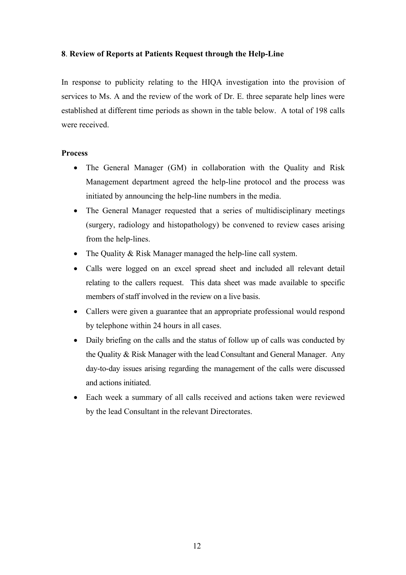# **8**. **Review of Reports at Patients Request through the Help-Line**

In response to publicity relating to the HIQA investigation into the provision of services to Ms. A and the review of the work of Dr. E. three separate help lines were established at different time periods as shown in the table below. A total of 198 calls were received.

# **Process**

- The General Manager (GM) in collaboration with the Quality and Risk Management department agreed the help-line protocol and the process was initiated by announcing the help-line numbers in the media.
- The General Manager requested that a series of multidisciplinary meetings (surgery, radiology and histopathology) be convened to review cases arising from the help-lines.
- The Quality & Risk Manager managed the help-line call system.
- Calls were logged on an excel spread sheet and included all relevant detail relating to the callers request. This data sheet was made available to specific members of staff involved in the review on a live basis.
- Callers were given a guarantee that an appropriate professional would respond by telephone within 24 hours in all cases.
- Daily briefing on the calls and the status of follow up of calls was conducted by the Quality & Risk Manager with the lead Consultant and General Manager. Any day-to-day issues arising regarding the management of the calls were discussed and actions initiated.
- Each week a summary of all calls received and actions taken were reviewed by the lead Consultant in the relevant Directorates.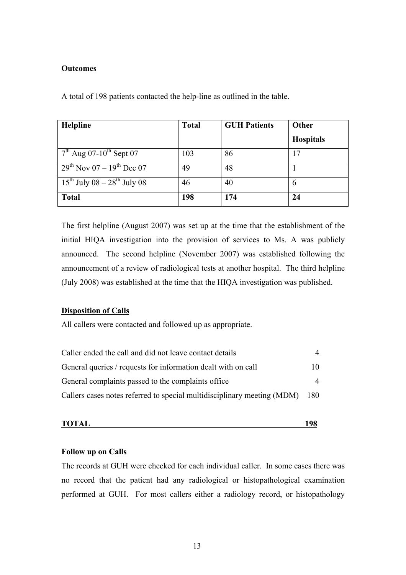# **Outcomes**

A total of 198 patients contacted the help-line as outlined in the table.

| Helpline                                     | <b>Total</b> | <b>GUH Patients</b> | Other            |
|----------------------------------------------|--------------|---------------------|------------------|
|                                              |              |                     | <b>Hospitals</b> |
| $7th$ Aug 07-10 <sup>th</sup> Sept 07        | 103          | 86                  | 17               |
| $29^{th}$ Nov 07 – 19 <sup>th</sup> Dec 07   | 49           | 48                  |                  |
| $15^{th}$ July 08 – 28 <sup>th</sup> July 08 | 46           | 40                  | 6                |
| <b>Total</b>                                 | 198          | 174                 | 24               |

The first helpline (August 2007) was set up at the time that the establishment of the initial HIQA investigation into the provision of services to Ms. A was publicly announced. The second helpline (November 2007) was established following the announcement of a review of radiological tests at another hospital. The third helpline (July 2008) was established at the time that the HIQA investigation was published.

# **Disposition of Calls**

All callers were contacted and followed up as appropriate.

| Caller ended the call and did not leave contact details                 | 4   |
|-------------------------------------------------------------------------|-----|
| General queries / requests for information dealt with on call           | 10. |
| General complaints passed to the complaints office                      | 4   |
| Callers cases notes referred to special multidisciplinary meeting (MDM) | 180 |

**TOTAL** 198

# **Follow up on Calls**

The records at GUH were checked for each individual caller. In some cases there was no record that the patient had any radiological or histopathological examination performed at GUH. For most callers either a radiology record, or histopathology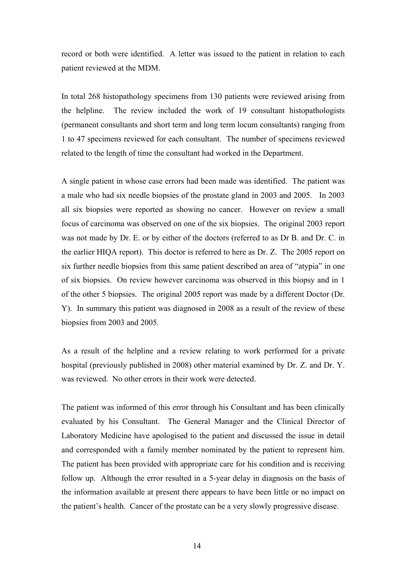record or both were identified. A letter was issued to the patient in relation to each patient reviewed at the MDM.

In total 268 histopathology specimens from 130 patients were reviewed arising from the helpline. The review included the work of 19 consultant histopathologists (permanent consultants and short term and long term locum consultants) ranging from 1 to 47 specimens reviewed for each consultant. The number of specimens reviewed related to the length of time the consultant had worked in the Department.

A single patient in whose case errors had been made was identified. The patient was a male who had six needle biopsies of the prostate gland in 2003 and 2005. In 2003 all six biopsies were reported as showing no cancer. However on review a small focus of carcinoma was observed on one of the six biopsies. The original 2003 report was not made by Dr. E. or by either of the doctors (referred to as Dr B. and Dr. C. in the earlier HIQA report). This doctor is referred to here as Dr. Z. The 2005 report on six further needle biopsies from this same patient described an area of "atypia" in one of six biopsies. On review however carcinoma was observed in this biopsy and in 1 of the other 5 biopsies. The original 2005 report was made by a different Doctor (Dr. Y). In summary this patient was diagnosed in 2008 as a result of the review of these biopsies from 2003 and 2005.

As a result of the helpline and a review relating to work performed for a private hospital (previously published in 2008) other material examined by Dr. Z. and Dr. Y. was reviewed. No other errors in their work were detected.

The patient was informed of this error through his Consultant and has been clinically evaluated by his Consultant. The General Manager and the Clinical Director of Laboratory Medicine have apologised to the patient and discussed the issue in detail and corresponded with a family member nominated by the patient to represent him. The patient has been provided with appropriate care for his condition and is receiving follow up. Although the error resulted in a 5-year delay in diagnosis on the basis of the information available at present there appears to have been little or no impact on the patient's health. Cancer of the prostate can be a very slowly progressive disease.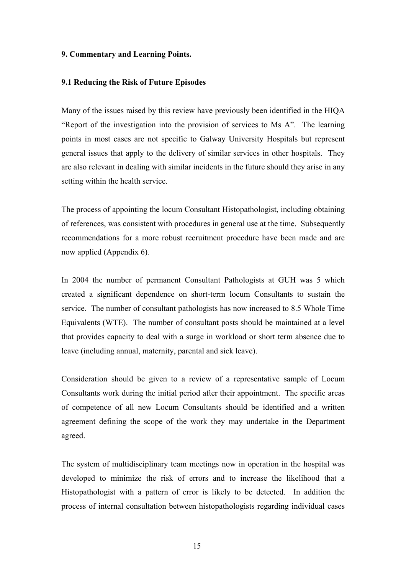## **9. Commentary and Learning Points.**

### **9.1 Reducing the Risk of Future Episodes**

Many of the issues raised by this review have previously been identified in the HIQA "Report of the investigation into the provision of services to Ms A". The learning points in most cases are not specific to Galway University Hospitals but represent general issues that apply to the delivery of similar services in other hospitals. They are also relevant in dealing with similar incidents in the future should they arise in any setting within the health service.

The process of appointing the locum Consultant Histopathologist, including obtaining of references, was consistent with procedures in general use at the time. Subsequently recommendations for a more robust recruitment procedure have been made and are now applied (Appendix 6)*.* 

In 2004 the number of permanent Consultant Pathologists at GUH was 5 which created a significant dependence on short-term locum Consultants to sustain the service. The number of consultant pathologists has now increased to 8.5 Whole Time Equivalents (WTE). The number of consultant posts should be maintained at a level that provides capacity to deal with a surge in workload or short term absence due to leave (including annual, maternity, parental and sick leave).

Consideration should be given to a review of a representative sample of Locum Consultants work during the initial period after their appointment. The specific areas of competence of all new Locum Consultants should be identified and a written agreement defining the scope of the work they may undertake in the Department agreed.

The system of multidisciplinary team meetings now in operation in the hospital was developed to minimize the risk of errors and to increase the likelihood that a Histopathologist with a pattern of error is likely to be detected. In addition the process of internal consultation between histopathologists regarding individual cases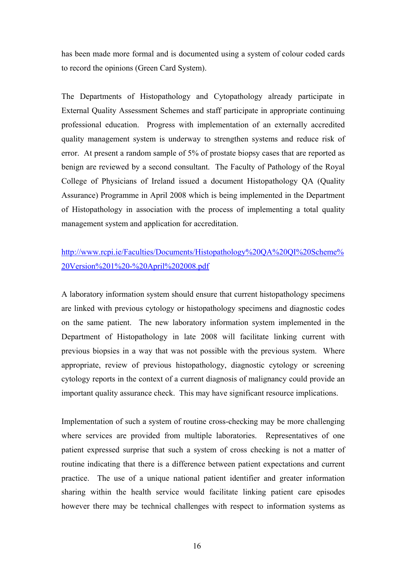has been made more formal and is documented using a system of colour coded cards to record the opinions (Green Card System).

The Departments of Histopathology and Cytopathology already participate in External Quality Assessment Schemes and staff participate in appropriate continuing professional education. Progress with implementation of an externally accredited quality management system is underway to strengthen systems and reduce risk of error. At present a random sample of 5% of prostate biopsy cases that are reported as benign are reviewed by a second consultant. The Faculty of Pathology of the Royal College of Physicians of Ireland issued a document Histopathology QA (Quality Assurance) Programme in April 2008 which is being implemented in the Department of Histopathology in association with the process of implementing a total quality management system and application for accreditation.

# http://www.rcpi.ie/Faculties/Documents/Histopathology%20QA%20QI%20Scheme% 20Version%201%20-%20April%202008.pdf

A laboratory information system should ensure that current histopathology specimens are linked with previous cytology or histopathology specimens and diagnostic codes on the same patient. The new laboratory information system implemented in the Department of Histopathology in late 2008 will facilitate linking current with previous biopsies in a way that was not possible with the previous system. Where appropriate, review of previous histopathology, diagnostic cytology or screening cytology reports in the context of a current diagnosis of malignancy could provide an important quality assurance check. This may have significant resource implications.

Implementation of such a system of routine cross-checking may be more challenging where services are provided from multiple laboratories. Representatives of one patient expressed surprise that such a system of cross checking is not a matter of routine indicating that there is a difference between patient expectations and current practice. The use of a unique national patient identifier and greater information sharing within the health service would facilitate linking patient care episodes however there may be technical challenges with respect to information systems as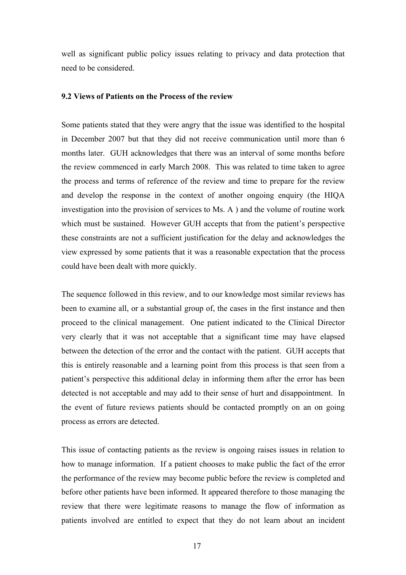well as significant public policy issues relating to privacy and data protection that need to be considered.

# **9.2 Views of Patients on the Process of the review**

Some patients stated that they were angry that the issue was identified to the hospital in December 2007 but that they did not receive communication until more than 6 months later. GUH acknowledges that there was an interval of some months before the review commenced in early March 2008. This was related to time taken to agree the process and terms of reference of the review and time to prepare for the review and develop the response in the context of another ongoing enquiry (the HIQA investigation into the provision of services to Ms. A ) and the volume of routine work which must be sustained. However GUH accepts that from the patient's perspective these constraints are not a sufficient justification for the delay and acknowledges the view expressed by some patients that it was a reasonable expectation that the process could have been dealt with more quickly.

The sequence followed in this review, and to our knowledge most similar reviews has been to examine all, or a substantial group of, the cases in the first instance and then proceed to the clinical management. One patient indicated to the Clinical Director very clearly that it was not acceptable that a significant time may have elapsed between the detection of the error and the contact with the patient. GUH accepts that this is entirely reasonable and a learning point from this process is that seen from a patient's perspective this additional delay in informing them after the error has been detected is not acceptable and may add to their sense of hurt and disappointment. In the event of future reviews patients should be contacted promptly on an on going process as errors are detected.

This issue of contacting patients as the review is ongoing raises issues in relation to how to manage information. If a patient chooses to make public the fact of the error the performance of the review may become public before the review is completed and before other patients have been informed. It appeared therefore to those managing the review that there were legitimate reasons to manage the flow of information as patients involved are entitled to expect that they do not learn about an incident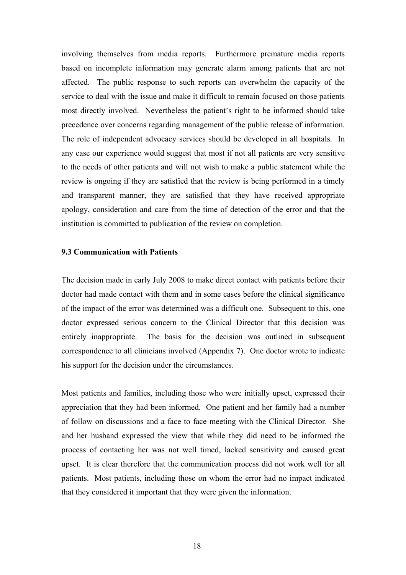involving themselves from media reports. Furthermore premature media reports based on incomplete information may generate alarm among patients that are not affected. The public response to such reports can overwhelm the capacity of the service to deal with the issue and make it difficult to remain focused on those patients most directly involved. Nevertheless the patient's right to be informed should take precedence over concerns regarding management of the public release of information. The role of independent advocacy services should be developed in all hospitals. In any case our experience would suggest that most if not all patients are very sensitive to the needs of other patients and will not wish to make a public statement while the review is ongoing if they are satisfied that the review is being performed in a timely and transparent manner, they are satisfied that they have received appropriate apology, consideration and care from the time of detection of the error and that the institution is committed to publication of the review on completion.

# **9.3 Communication with Patients**

The decision made in early July 2008 to make direct contact with patients before their doctor had made contact with them and in some cases before the clinical significance of the impact of the error was determined was a difficult one. Subsequent to this, one doctor expressed serious concern to the Clinical Director that this decision was entirely inappropriate. The basis for the decision was outlined in subsequent correspondence to all clinicians involved (Appendix 7). One doctor wrote to indicate his support for the decision under the circumstances.

Most patients and families, including those who were initially upset, expressed their appreciation that they had been informed. One patient and her family had a number of follow on discussions and a face to face meeting with the Clinical Director. She and her husband expressed the view that while they did need to be informed the process of contacting her was not well timed, lacked sensitivity and caused great upset. It is clear therefore that the communication process did not work well for all patients. Most patients, including those on whom the error had no impact indicated that they considered it important that they were given the information.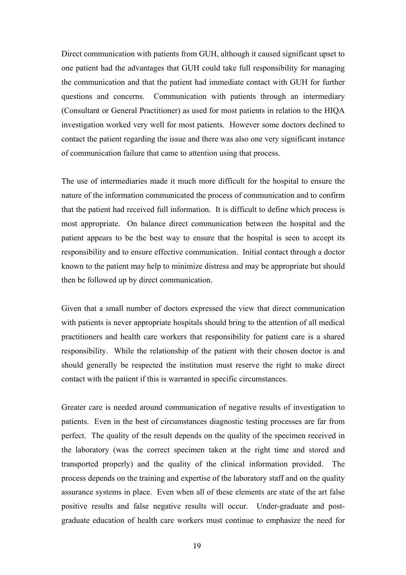Direct communication with patients from GUH, although it caused significant upset to one patient had the advantages that GUH could take full responsibility for managing the communication and that the patient had immediate contact with GUH for further questions and concerns. Communication with patients through an intermediary (Consultant or General Practitioner) as used for most patients in relation to the HIQA investigation worked very well for most patients. However some doctors declined to contact the patient regarding the issue and there was also one very significant instance of communication failure that came to attention using that process.

The use of intermediaries made it much more difficult for the hospital to ensure the nature of the information communicated the process of communication and to confirm that the patient had received full information. It is difficult to define which process is most appropriate. On balance direct communication between the hospital and the patient appears to be the best way to ensure that the hospital is seen to accept its responsibility and to ensure effective communication. Initial contact through a doctor known to the patient may help to minimize distress and may be appropriate but should then be followed up by direct communication.

Given that a small number of doctors expressed the view that direct communication with patients is never appropriate hospitals should bring to the attention of all medical practitioners and health care workers that responsibility for patient care is a shared responsibility. While the relationship of the patient with their chosen doctor is and should generally be respected the institution must reserve the right to make direct contact with the patient if this is warranted in specific circumstances.

Greater care is needed around communication of negative results of investigation to patients. Even in the best of circumstances diagnostic testing processes are far from perfect. The quality of the result depends on the quality of the specimen received in the laboratory (was the correct specimen taken at the right time and stored and transported properly) and the quality of the clinical information provided. The process depends on the training and expertise of the laboratory staff and on the quality assurance systems in place. Even when all of these elements are state of the art false positive results and false negative results will occur. Under-graduate and postgraduate education of health care workers must continue to emphasize the need for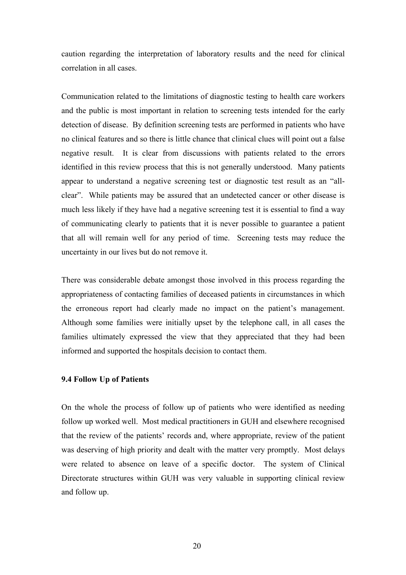caution regarding the interpretation of laboratory results and the need for clinical correlation in all cases.

Communication related to the limitations of diagnostic testing to health care workers and the public is most important in relation to screening tests intended for the early detection of disease. By definition screening tests are performed in patients who have no clinical features and so there is little chance that clinical clues will point out a false negative result. It is clear from discussions with patients related to the errors identified in this review process that this is not generally understood. Many patients appear to understand a negative screening test or diagnostic test result as an "allclear". While patients may be assured that an undetected cancer or other disease is much less likely if they have had a negative screening test it is essential to find a way of communicating clearly to patients that it is never possible to guarantee a patient that all will remain well for any period of time. Screening tests may reduce the uncertainty in our lives but do not remove it.

There was considerable debate amongst those involved in this process regarding the appropriateness of contacting families of deceased patients in circumstances in which the erroneous report had clearly made no impact on the patient's management. Although some families were initially upset by the telephone call, in all cases the families ultimately expressed the view that they appreciated that they had been informed and supported the hospitals decision to contact them.

### **9.4 Follow Up of Patients**

On the whole the process of follow up of patients who were identified as needing follow up worked well. Most medical practitioners in GUH and elsewhere recognised that the review of the patients' records and, where appropriate, review of the patient was deserving of high priority and dealt with the matter very promptly. Most delays were related to absence on leave of a specific doctor. The system of Clinical Directorate structures within GUH was very valuable in supporting clinical review and follow up.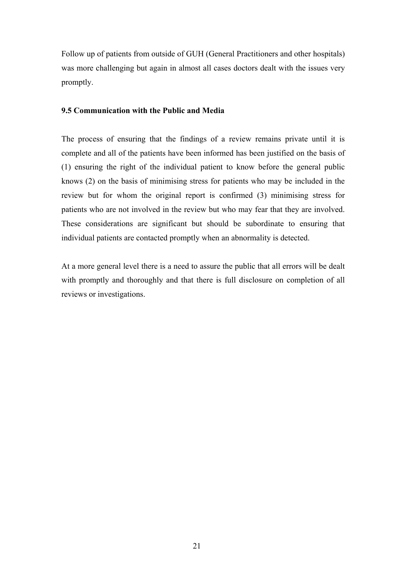Follow up of patients from outside of GUH (General Practitioners and other hospitals) was more challenging but again in almost all cases doctors dealt with the issues very promptly.

# **9.5 Communication with the Public and Media**

The process of ensuring that the findings of a review remains private until it is complete and all of the patients have been informed has been justified on the basis of (1) ensuring the right of the individual patient to know before the general public knows (2) on the basis of minimising stress for patients who may be included in the review but for whom the original report is confirmed (3) minimising stress for patients who are not involved in the review but who may fear that they are involved. These considerations are significant but should be subordinate to ensuring that individual patients are contacted promptly when an abnormality is detected.

At a more general level there is a need to assure the public that all errors will be dealt with promptly and thoroughly and that there is full disclosure on completion of all reviews or investigations.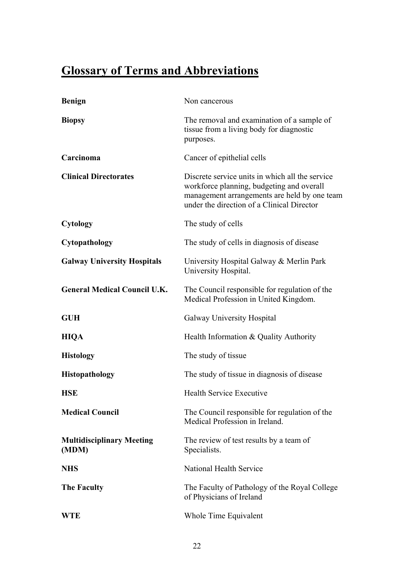# **Glossary of Terms and Abbreviations**

| <b>Benign</b>                             | Non cancerous                                                                                                                                                                              |
|-------------------------------------------|--------------------------------------------------------------------------------------------------------------------------------------------------------------------------------------------|
| <b>Biopsy</b>                             | The removal and examination of a sample of<br>tissue from a living body for diagnostic<br>purposes.                                                                                        |
| Carcinoma                                 | Cancer of epithelial cells                                                                                                                                                                 |
| <b>Clinical Directorates</b>              | Discrete service units in which all the service<br>workforce planning, budgeting and overall<br>management arrangements are held by one team<br>under the direction of a Clinical Director |
| <b>Cytology</b>                           | The study of cells                                                                                                                                                                         |
| Cytopathology                             | The study of cells in diagnosis of disease                                                                                                                                                 |
| <b>Galway University Hospitals</b>        | University Hospital Galway & Merlin Park<br>University Hospital.                                                                                                                           |
| <b>General Medical Council U.K.</b>       | The Council responsible for regulation of the<br>Medical Profession in United Kingdom.                                                                                                     |
| <b>GUH</b>                                | Galway University Hospital                                                                                                                                                                 |
| <b>HIQA</b>                               | Health Information & Quality Authority                                                                                                                                                     |
| <b>Histology</b>                          | The study of tissue                                                                                                                                                                        |
| Histopathology                            | The study of tissue in diagnosis of disease                                                                                                                                                |
| <b>HSE</b>                                | <b>Health Service Executive</b>                                                                                                                                                            |
| <b>Medical Council</b>                    | The Council responsible for regulation of the<br>Medical Profession in Ireland.                                                                                                            |
| <b>Multidisciplinary Meeting</b><br>(MDM) | The review of test results by a team of<br>Specialists.                                                                                                                                    |
| <b>NHS</b>                                | <b>National Health Service</b>                                                                                                                                                             |
| <b>The Faculty</b>                        | The Faculty of Pathology of the Royal College<br>of Physicians of Ireland                                                                                                                  |
| <b>WTE</b>                                | Whole Time Equivalent                                                                                                                                                                      |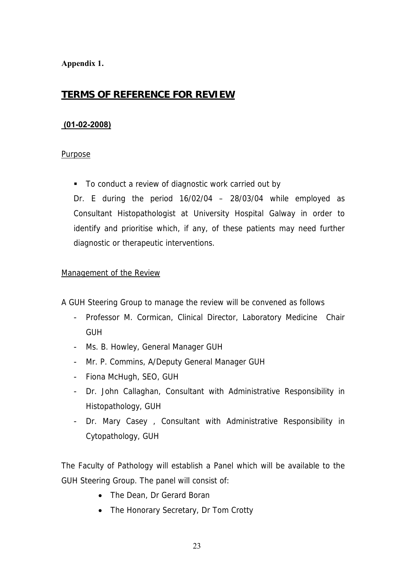# **Appendix 1.**

# **TERMS OF REFERENCE FOR REVIEW**

# **(01-02-2008)**

# Purpose

■ To conduct a review of diagnostic work carried out by

Dr. E during the period 16/02/04 – 28/03/04 while employed as Consultant Histopathologist at University Hospital Galway in order to identify and prioritise which, if any, of these patients may need further diagnostic or therapeutic interventions.

# Management of the Review

A GUH Steering Group to manage the review will be convened as follows

- Professor M. Cormican, Clinical Director, Laboratory Medicine Chair **GUH**
- Ms. B. Howley, General Manager GUH
- Mr. P. Commins, A/Deputy General Manager GUH
- Fiona McHugh, SEO, GUH
- Dr. John Callaghan, Consultant with Administrative Responsibility in Histopathology, GUH
- Dr. Mary Casey, Consultant with Administrative Responsibility in Cytopathology, GUH

The Faculty of Pathology will establish a Panel which will be available to the GUH Steering Group. The panel will consist of:

- The Dean, Dr Gerard Boran
- The Honorary Secretary, Dr Tom Crotty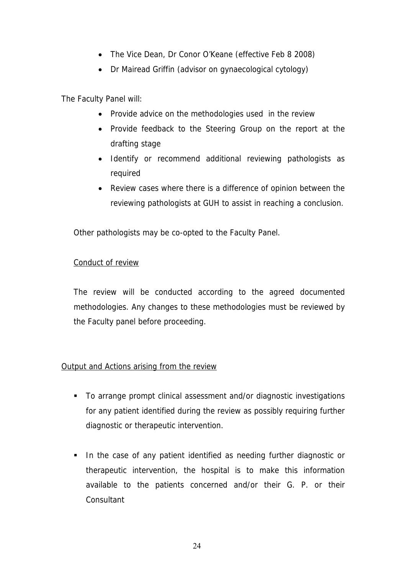- The Vice Dean, Dr Conor O'Keane (effective Feb 8 2008)
- Dr Mairead Griffin (advisor on gynaecological cytology)

The Faculty Panel will:

- Provide advice on the methodologies used in the review
- Provide feedback to the Steering Group on the report at the drafting stage
- Identify or recommend additional reviewing pathologists as required
- Review cases where there is a difference of opinion between the reviewing pathologists at GUH to assist in reaching a conclusion.

Other pathologists may be co-opted to the Faculty Panel.

# Conduct of review

The review will be conducted according to the agreed documented methodologies. Any changes to these methodologies must be reviewed by the Faculty panel before proceeding.

# Output and Actions arising from the review

- To arrange prompt clinical assessment and/or diagnostic investigations for any patient identified during the review as possibly requiring further diagnostic or therapeutic intervention.
- **IF In the case of any patient identified as needing further diagnostic or** therapeutic intervention, the hospital is to make this information available to the patients concerned and/or their G. P. or their **Consultant**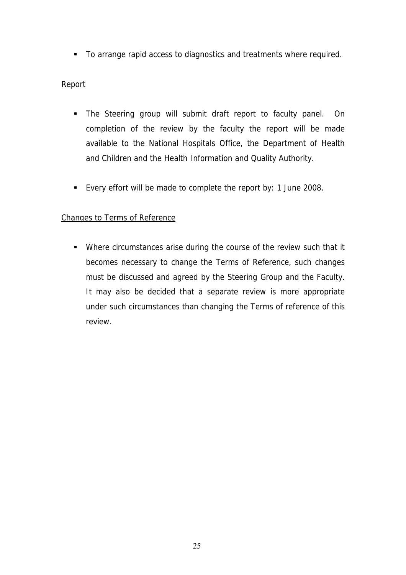To arrange rapid access to diagnostics and treatments where required.

# Report

- The Steering group will submit draft report to faculty panel. On completion of the review by the faculty the report will be made available to the National Hospitals Office, the Department of Health and Children and the Health Information and Quality Authority.
- Every effort will be made to complete the report by: 1 June 2008.

# Changes to Terms of Reference

 Where circumstances arise during the course of the review such that it becomes necessary to change the Terms of Reference, such changes must be discussed and agreed by the Steering Group and the Faculty. It may also be decided that a separate review is more appropriate under such circumstances than changing the Terms of reference of this review.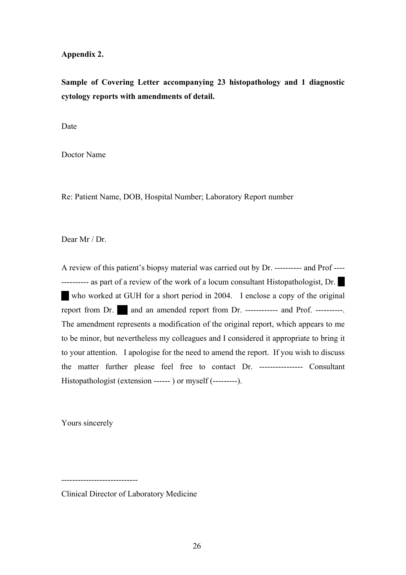# **Appendix 2.**

**Sample of Covering Letter accompanying 23 histopathology and 1 diagnostic cytology reports with amendments of detail.** 

Date

Doctor Name

Re: Patient Name, DOB, Hospital Number; Laboratory Report number

Dear Mr / Dr.

A review of this patient's biopsy material was carried out by Dr. ---------- and Prof ---- ---------- as part of a review of the work of a locum consultant Histopathologist, Dr. who worked at GUH for a short period in 2004. I enclose a copy of the original report from Dr.  $\blacksquare$  and an amended report from Dr. ------------ and Prof. ----------. The amendment represents a modification of the original report, which appears to me to be minor, but nevertheless my colleagues and I considered it appropriate to bring it to your attention. I apologise for the need to amend the report. If you wish to discuss the matter further please feel free to contact Dr. ---------------- Consultant Histopathologist (extension ------ ) or myself (---------).

Yours sincerely

----------------------------

Clinical Director of Laboratory Medicine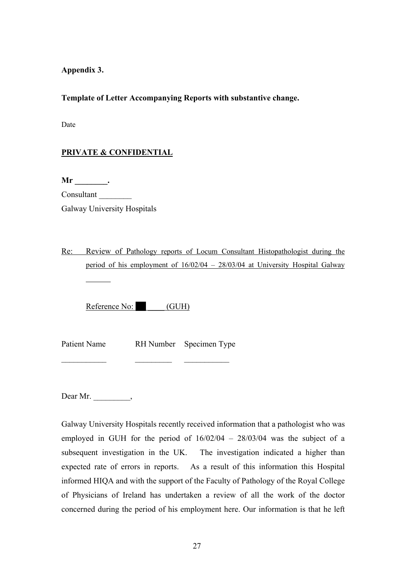# **Appendix 3.**

# **Template of Letter Accompanying Reports with substantive change.**

Date

# **PRIVATE & CONFIDENTIAL**

**Mr \_\_\_\_\_\_\_\_.**  Consultant \_\_\_\_\_\_\_\_ Galway University Hospitals

Re: Review of Pathology reports of Locum Consultant Histopathologist during the period of his employment of 16/02/04 – 28/03/04 at University Hospital Galway

Reference No: (GUH)

Patient Name RH Number Specimen Type

 $\frac{1}{2}$  ,  $\frac{1}{2}$  ,  $\frac{1}{2}$  ,  $\frac{1}{2}$  ,  $\frac{1}{2}$  ,  $\frac{1}{2}$  ,  $\frac{1}{2}$  ,  $\frac{1}{2}$  ,  $\frac{1}{2}$  ,  $\frac{1}{2}$  ,  $\frac{1}{2}$  ,  $\frac{1}{2}$  ,  $\frac{1}{2}$ 

Dear Mr. \_\_\_\_\_\_\_\_\_\_,

Galway University Hospitals recently received information that a pathologist who was employed in GUH for the period of 16/02/04 – 28/03/04 was the subject of a subsequent investigation in the UK. The investigation indicated a higher than expected rate of errors in reports. As a result of this information this Hospital informed HIQA and with the support of the Faculty of Pathology of the Royal College of Physicians of Ireland has undertaken a review of all the work of the doctor concerned during the period of his employment here. Our information is that he left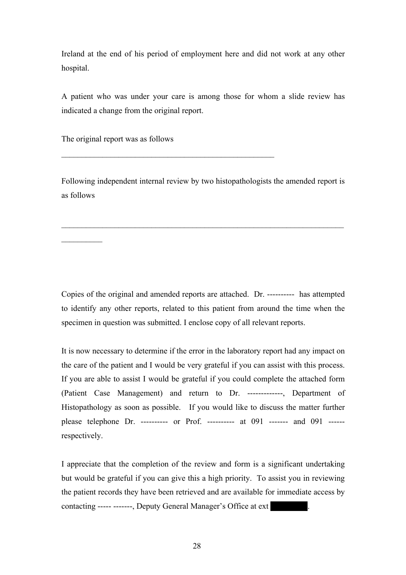Ireland at the end of his period of employment here and did not work at any other hospital.

A patient who was under your care is among those for whom a slide review has indicated a change from the original report.

The original report was as follows

 $\frac{1}{2}$ 

Following independent internal review by two histopathologists the amended report is as follows

 $\mathcal{L}_\mathcal{L} = \mathcal{L}_\mathcal{L} = \mathcal{L}_\mathcal{L} = \mathcal{L}_\mathcal{L} = \mathcal{L}_\mathcal{L} = \mathcal{L}_\mathcal{L} = \mathcal{L}_\mathcal{L} = \mathcal{L}_\mathcal{L} = \mathcal{L}_\mathcal{L} = \mathcal{L}_\mathcal{L} = \mathcal{L}_\mathcal{L} = \mathcal{L}_\mathcal{L} = \mathcal{L}_\mathcal{L} = \mathcal{L}_\mathcal{L} = \mathcal{L}_\mathcal{L} = \mathcal{L}_\mathcal{L} = \mathcal{L}_\mathcal{L}$ 

 $\mathcal{L}_\text{max}$  , and the contract of the contract of the contract of the contract of the contract of the contract of the contract of the contract of the contract of the contract of the contract of the contract of the contr

Copies of the original and amended reports are attached. Dr. ---------- has attempted to identify any other reports, related to this patient from around the time when the specimen in question was submitted. I enclose copy of all relevant reports.

It is now necessary to determine if the error in the laboratory report had any impact on the care of the patient and I would be very grateful if you can assist with this process. If you are able to assist I would be grateful if you could complete the attached form (Patient Case Management) and return to Dr. -------------, Department of Histopathology as soon as possible. If you would like to discuss the matter further please telephone Dr. ---------- or Prof. ---------- at 091 ------- and 091 ----- respectively.

I appreciate that the completion of the review and form is a significant undertaking but would be grateful if you can give this a high priority. To assist you in reviewing the patient records they have been retrieved and are available for immediate access by contacting ----- -------, Deputy General Manager's Office at ext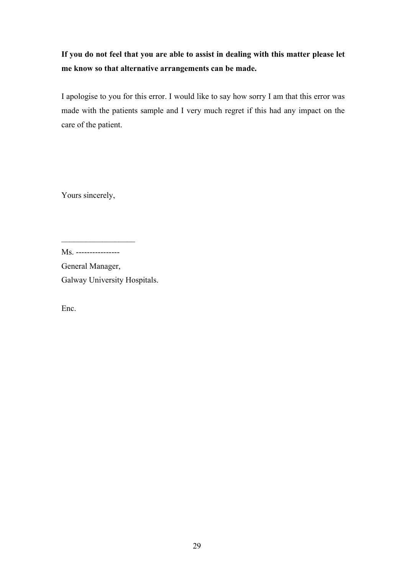# **If you do not feel that you are able to assist in dealing with this matter please let me know so that alternative arrangements can be made.**

I apologise to you for this error. I would like to say how sorry I am that this error was made with the patients sample and I very much regret if this had any impact on the care of the patient.

Yours sincerely,

 $\mathcal{L}_\text{max}$  , we have the set of the set of the set of the set of the set of the set of the set of the set of the set of the set of the set of the set of the set of the set of the set of the set of the set of the set of

General Manager, Galway University Hospitals.

Enc.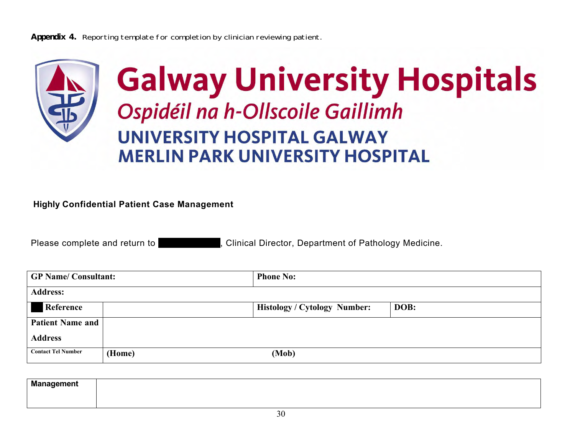**Appendix 4.** Reporting template for completion by clinician reviewing patient.



# **Highly Confidential Patient Case Management**

Please complete and return to **Profession Corp.** Clinical Director, Department of Pathology Medicine.

| <b>GP Name/Consultant:</b> |        | <b>Phone No:</b>                    |      |  |  |
|----------------------------|--------|-------------------------------------|------|--|--|
| <b>Address:</b>            |        |                                     |      |  |  |
| Reference                  |        | <b>Histology / Cytology Number:</b> | DOB: |  |  |
| <b>Patient Name and</b>    |        |                                     |      |  |  |
| <b>Address</b>             |        |                                     |      |  |  |
| <b>Contact Tel Number</b>  | (Home) | (Mob)                               |      |  |  |

| Mai<br>agemen. |  |  |
|----------------|--|--|
|                |  |  |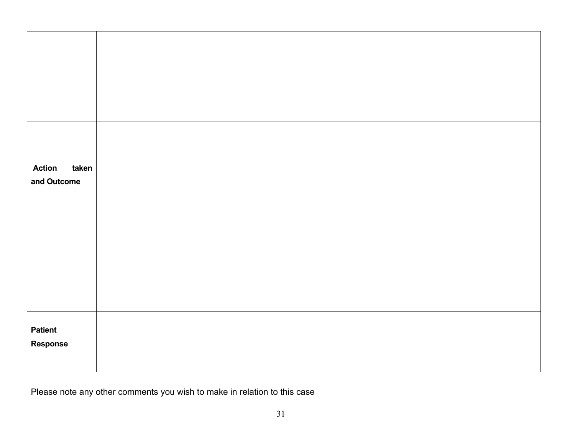| <b>Action</b><br>taken<br>and Outcome |  |
|---------------------------------------|--|
|                                       |  |
| <b>Patient</b><br>Response            |  |

Please note any other comments you wish to make in relation to this case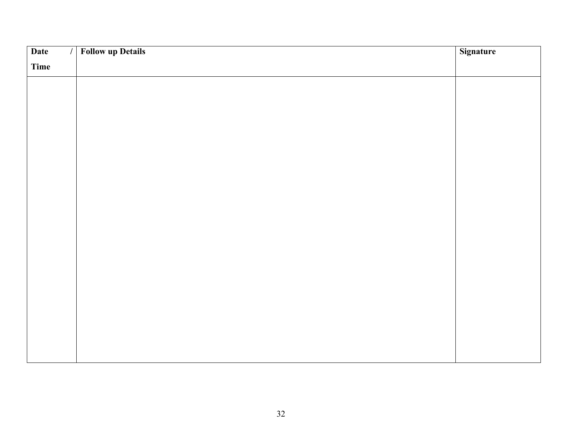| Date<br>$\sqrt{ }$ | <b>Follow up Details</b> | Signature |
|--------------------|--------------------------|-----------|
| Time               |                          |           |
|                    |                          |           |
|                    |                          |           |
|                    |                          |           |
|                    |                          |           |
|                    |                          |           |
|                    |                          |           |
|                    |                          |           |
|                    |                          |           |
|                    |                          |           |
|                    |                          |           |
|                    |                          |           |
|                    |                          |           |
|                    |                          |           |
|                    |                          |           |
|                    |                          |           |
|                    |                          |           |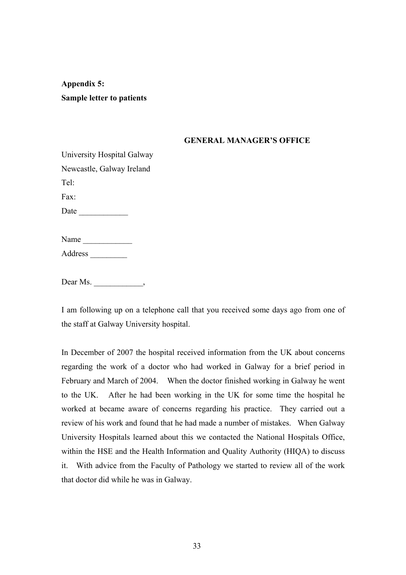**Appendix 5: Sample letter to patients** 

# **GENERAL MANAGER'S OFFICE**

| University Hospital Galway |  |  |
|----------------------------|--|--|
| Newcastle, Galway Ireland  |  |  |
| Tel:                       |  |  |
| Fax:                       |  |  |
| Date                       |  |  |
|                            |  |  |
| Name                       |  |  |
| Address                    |  |  |

Dear Ms.

I am following up on a telephone call that you received some days ago from one of the staff at Galway University hospital.

In December of 2007 the hospital received information from the UK about concerns regarding the work of a doctor who had worked in Galway for a brief period in February and March of 2004. When the doctor finished working in Galway he went to the UK. After he had been working in the UK for some time the hospital he worked at became aware of concerns regarding his practice. They carried out a review of his work and found that he had made a number of mistakes. When Galway University Hospitals learned about this we contacted the National Hospitals Office, within the HSE and the Health Information and Quality Authority (HIQA) to discuss it. With advice from the Faculty of Pathology we started to review all of the work that doctor did while he was in Galway.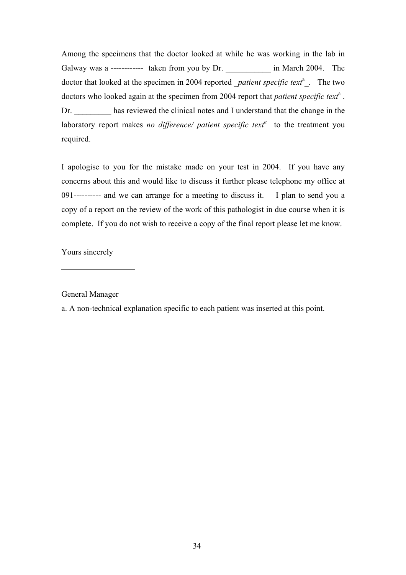Among the specimens that the doctor looked at while he was working in the lab in Galway was a ------------ taken from you by Dr. \_\_\_\_\_\_\_\_\_ in March 2004. The doctor that looked at the specimen in 2004 reported *\_patient specific text<sup>a</sup>* \_. The two doctors who looked again at the specimen from 2004 report that *patient specific text<sup>a</sup>*. Dr. has reviewed the clinical notes and I understand that the change in the laboratory report makes *no difference*/ *patient specific text<sup>a</sup>* to the treatment you required.

I apologise to you for the mistake made on your test in 2004. If you have any concerns about this and would like to discuss it further please telephone my office at 091---------- and we can arrange for a meeting to discuss it. I plan to send you a copy of a report on the review of the work of this pathologist in due course when it is complete. If you do not wish to receive a copy of the final report please let me know.

Yours sincerely

 $\overline{a}$ 

General Manager

a. A non-technical explanation specific to each patient was inserted at this point.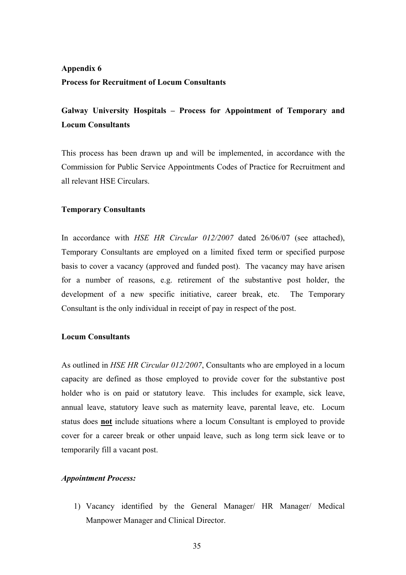# **Appendix 6 Process for Recruitment of Locum Consultants**

# **Galway University Hospitals – Process for Appointment of Temporary and Locum Consultants**

This process has been drawn up and will be implemented, in accordance with the Commission for Public Service Appointments Codes of Practice for Recruitment and all relevant HSE Circulars.

# **Temporary Consultants**

In accordance with *HSE HR Circular 012/2007* dated 26/06/07 (see attached), Temporary Consultants are employed on a limited fixed term or specified purpose basis to cover a vacancy (approved and funded post). The vacancy may have arisen for a number of reasons, e.g. retirement of the substantive post holder, the development of a new specific initiative, career break, etc. The Temporary Consultant is the only individual in receipt of pay in respect of the post.

# **Locum Consultants**

As outlined in *HSE HR Circular 012/2007*, Consultants who are employed in a locum capacity are defined as those employed to provide cover for the substantive post holder who is on paid or statutory leave. This includes for example, sick leave, annual leave, statutory leave such as maternity leave, parental leave, etc. Locum status does **not** include situations where a locum Consultant is employed to provide cover for a career break or other unpaid leave, such as long term sick leave or to temporarily fill a vacant post.

# *Appointment Process:*

1) Vacancy identified by the General Manager/ HR Manager/ Medical Manpower Manager and Clinical Director.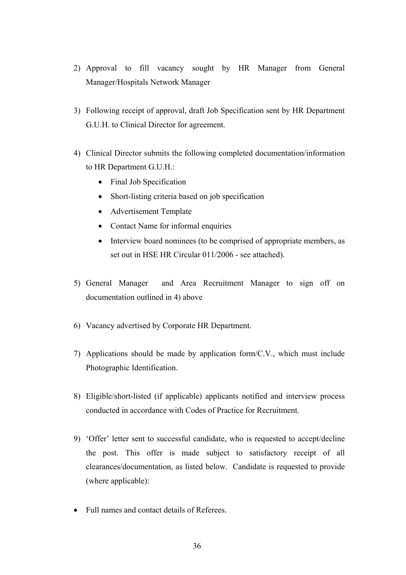- 2) Approval to fill vacancy sought by HR Manager from General Manager/Hospitals Network Manager
- 3) Following receipt of approval, draft Job Specification sent by HR Department G.U.H. to Clinical Director for agreement.
- 4) Clinical Director submits the following completed documentation/information to HR Department G.U.H.:
	- Final Job Specification
	- Short-listing criteria based on job specification
	- Advertisement Template
	- Contact Name for informal enquiries
	- Interview board nominees (to be comprised of appropriate members, as set out in HSE HR Circular 011/2006 - see attached).
- 5) General Manager and Area Recruitment Manager to sign off on documentation outlined in 4) above
- 6) Vacancy advertised by Corporate HR Department.
- 7) Applications should be made by application form/C.V., which must include Photographic Identification.
- 8) Eligible/short-listed (if applicable) applicants notified and interview process conducted in accordance with Codes of Practice for Recruitment.
- 9) 'Offer' letter sent to successful candidate, who is requested to accept/decline the post. This offer is made subject to satisfactory receipt of all clearances/documentation, as listed below. Candidate is requested to provide (where applicable):
- Full names and contact details of Referees.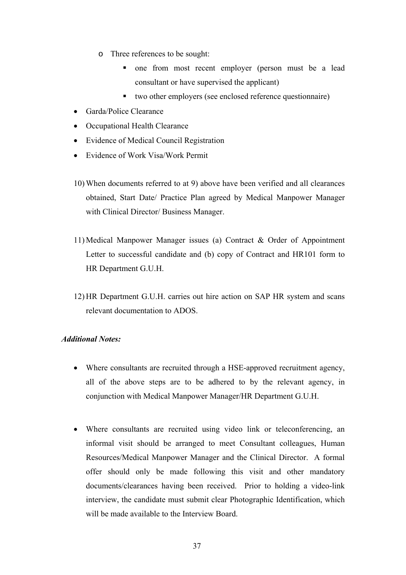- o Three references to be sought:
	- **n** one from most recent employer (person must be a lead consultant or have supervised the applicant)
	- two other employers (see enclosed reference questionnaire)
- Garda/Police Clearance
- Occupational Health Clearance
- Evidence of Medical Council Registration
- Evidence of Work Visa/Work Permit
- 10) When documents referred to at 9) above have been verified and all clearances obtained, Start Date/ Practice Plan agreed by Medical Manpower Manager with Clinical Director/ Business Manager.
- 11) Medical Manpower Manager issues (a) Contract & Order of Appointment Letter to successful candidate and (b) copy of Contract and HR101 form to HR Department G.U.H.
- 12) HR Department G.U.H. carries out hire action on SAP HR system and scans relevant documentation to ADOS.

# *Additional Notes:*

- Where consultants are recruited through a HSE-approved recruitment agency, all of the above steps are to be adhered to by the relevant agency, in conjunction with Medical Manpower Manager/HR Department G.U.H.
- Where consultants are recruited using video link or teleconferencing, an informal visit should be arranged to meet Consultant colleagues, Human Resources/Medical Manpower Manager and the Clinical Director. A formal offer should only be made following this visit and other mandatory documents/clearances having been received. Prior to holding a video-link interview, the candidate must submit clear Photographic Identification, which will be made available to the Interview Board.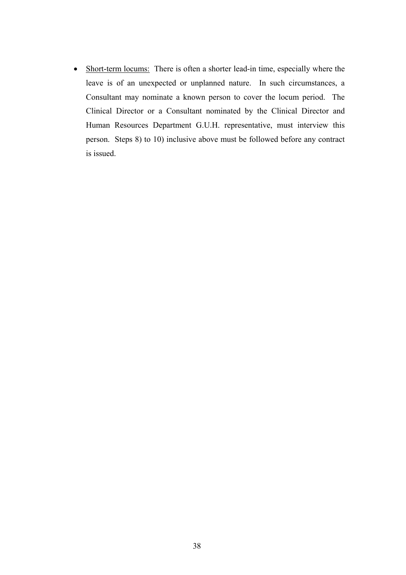• Short-term locums: There is often a shorter lead-in time, especially where the leave is of an unexpected or unplanned nature. In such circumstances, a Consultant may nominate a known person to cover the locum period. The Clinical Director or a Consultant nominated by the Clinical Director and Human Resources Department G.U.H. representative, must interview this person. Steps 8) to 10) inclusive above must be followed before any contract is issued.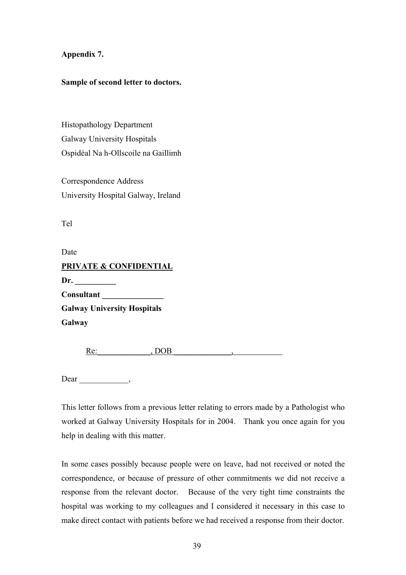# **Appendix 7.**

# **Sample of second letter to doctors.**

Histopathology Department Galway University Hospitals Ospidéal Na h-Ollscoile na Gaillimh

Correspondence Address University Hospital Galway, Ireland

Tel

Date **PRIVATE & CONFIDENTIAL Dr. \_\_\_\_\_\_\_\_\_\_ Consultant \_\_\_\_\_\_\_\_\_\_\_\_\_\_\_ Galway University Hospitals Galway** 

Re<sup>-</sup><sub>DOB</sub>

Dear \_\_\_\_\_\_\_\_\_\_\_\_\_\_\_,

This letter follows from a previous letter relating to errors made by a Pathologist who worked at Galway University Hospitals for in 2004. Thank you once again for you help in dealing with this matter.

In some cases possibly because people were on leave, had not received or noted the correspondence, or because of pressure of other commitments we did not receive a response from the relevant doctor. Because of the very tight time constraints the hospital was working to my colleagues and I considered it necessary in this case to make direct contact with patients before we had received a response from their doctor.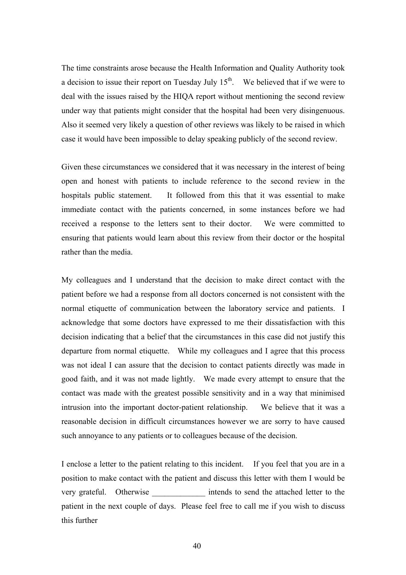The time constraints arose because the Health Information and Quality Authority took a decision to issue their report on Tuesday July  $15<sup>th</sup>$ . We believed that if we were to deal with the issues raised by the HIQA report without mentioning the second review under way that patients might consider that the hospital had been very disingenuous. Also it seemed very likely a question of other reviews was likely to be raised in which case it would have been impossible to delay speaking publicly of the second review.

Given these circumstances we considered that it was necessary in the interest of being open and honest with patients to include reference to the second review in the hospitals public statement. It followed from this that it was essential to make immediate contact with the patients concerned, in some instances before we had received a response to the letters sent to their doctor. We were committed to ensuring that patients would learn about this review from their doctor or the hospital rather than the media.

My colleagues and I understand that the decision to make direct contact with the patient before we had a response from all doctors concerned is not consistent with the normal etiquette of communication between the laboratory service and patients. I acknowledge that some doctors have expressed to me their dissatisfaction with this decision indicating that a belief that the circumstances in this case did not justify this departure from normal etiquette. While my colleagues and I agree that this process was not ideal I can assure that the decision to contact patients directly was made in good faith, and it was not made lightly. We made every attempt to ensure that the contact was made with the greatest possible sensitivity and in a way that minimised intrusion into the important doctor-patient relationship. We believe that it was a reasonable decision in difficult circumstances however we are sorry to have caused such annoyance to any patients or to colleagues because of the decision.

I enclose a letter to the patient relating to this incident. If you feel that you are in a position to make contact with the patient and discuss this letter with them I would be very grateful. Otherwise intends to send the attached letter to the patient in the next couple of days. Please feel free to call me if you wish to discuss this further